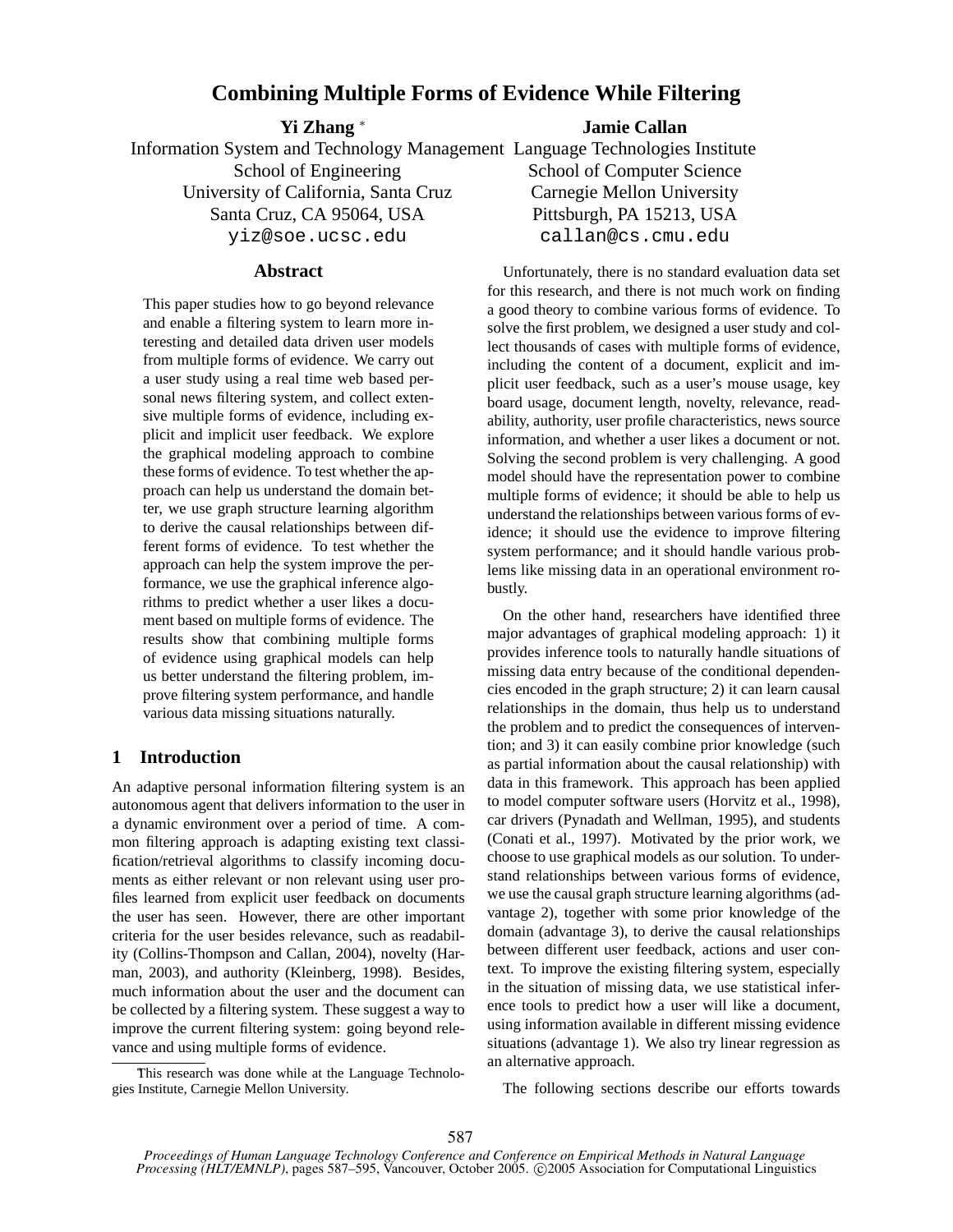# **Combining Multiple Forms of Evidence While Filtering**

**Yi Zhang** <sup>∗</sup>

Information System and Technology Management Language Technologies Institute School of Engineering University of California, Santa Cruz Santa Cruz, CA 95064, USA yiz@soe.ucsc.edu

## **Abstract**

This paper studies how to go beyond relevance and enable a filtering system to learn more interesting and detailed data driven user models from multiple forms of evidence. We carry out a user study using a real time web based personal news filtering system, and collect extensive multiple forms of evidence, including explicit and implicit user feedback. We explore the graphical modeling approach to combine these forms of evidence. To test whether the approach can help us understand the domain better, we use graph structure learning algorithm to derive the causal relationships between different forms of evidence. To test whether the approach can help the system improve the performance, we use the graphical inference algorithms to predict whether a user likes a document based on multiple forms of evidence. The results show that combining multiple forms of evidence using graphical models can help us better understand the filtering problem, improve filtering system performance, and handle various data missing situations naturally.

## **1 Introduction**

An adaptive personal information filtering system is an autonomous agent that delivers information to the user in a dynamic environment over a period of time. A common filtering approach is adapting existing text classification/retrieval algorithms to classify incoming documents as either relevant or non relevant using user profiles learned from explicit user feedback on documents the user has seen. However, there are other important criteria for the user besides relevance, such as readability (Collins-Thompson and Callan, 2004), novelty (Harman, 2003), and authority (Kleinberg, 1998). Besides, much information about the user and the document can be collected by a filtering system. These suggest a way to improve the current filtering system: going beyond relevance and using multiple forms of evidence.

This research was done while at the Language Technologies Institute, Carnegie Mellon University.

**Jamie Callan**

School of Computer Science Carnegie Mellon University Pittsburgh, PA 15213, USA callan@cs.cmu.edu

Unfortunately, there is no standard evaluation data set for this research, and there is not much work on finding a good theory to combine various forms of evidence. To solve the first problem, we designed a user study and collect thousands of cases with multiple forms of evidence, including the content of a document, explicit and implicit user feedback, such as a user's mouse usage, key board usage, document length, novelty, relevance, readability, authority, user profile characteristics, news source information, and whether a user likes a document or not. Solving the second problem is very challenging. A good model should have the representation power to combine multiple forms of evidence; it should be able to help us understand the relationships between various forms of evidence; it should use the evidence to improve filtering system performance; and it should handle various problems like missing data in an operational environment robustly.

On the other hand, researchers have identified three major advantages of graphical modeling approach: 1) it provides inference tools to naturally handle situations of missing data entry because of the conditional dependencies encoded in the graph structure; 2) it can learn causal relationships in the domain, thus help us to understand the problem and to predict the consequences of intervention; and 3) it can easily combine prior knowledge (such as partial information about the causal relationship) with data in this framework. This approach has been applied to model computer software users (Horvitz et al., 1998), car drivers (Pynadath and Wellman, 1995), and students (Conati et al., 1997). Motivated by the prior work, we choose to use graphical models as our solution. To understand relationships between various forms of evidence, we use the causal graph structure learning algorithms (advantage 2), together with some prior knowledge of the domain (advantage 3), to derive the causal relationships between different user feedback, actions and user context. To improve the existing filtering system, especially in the situation of missing data, we use statistical inference tools to predict how a user will like a document, using information available in different missing evidence situations (advantage 1). We also try linear regression as an alternative approach.

The following sections describe our efforts towards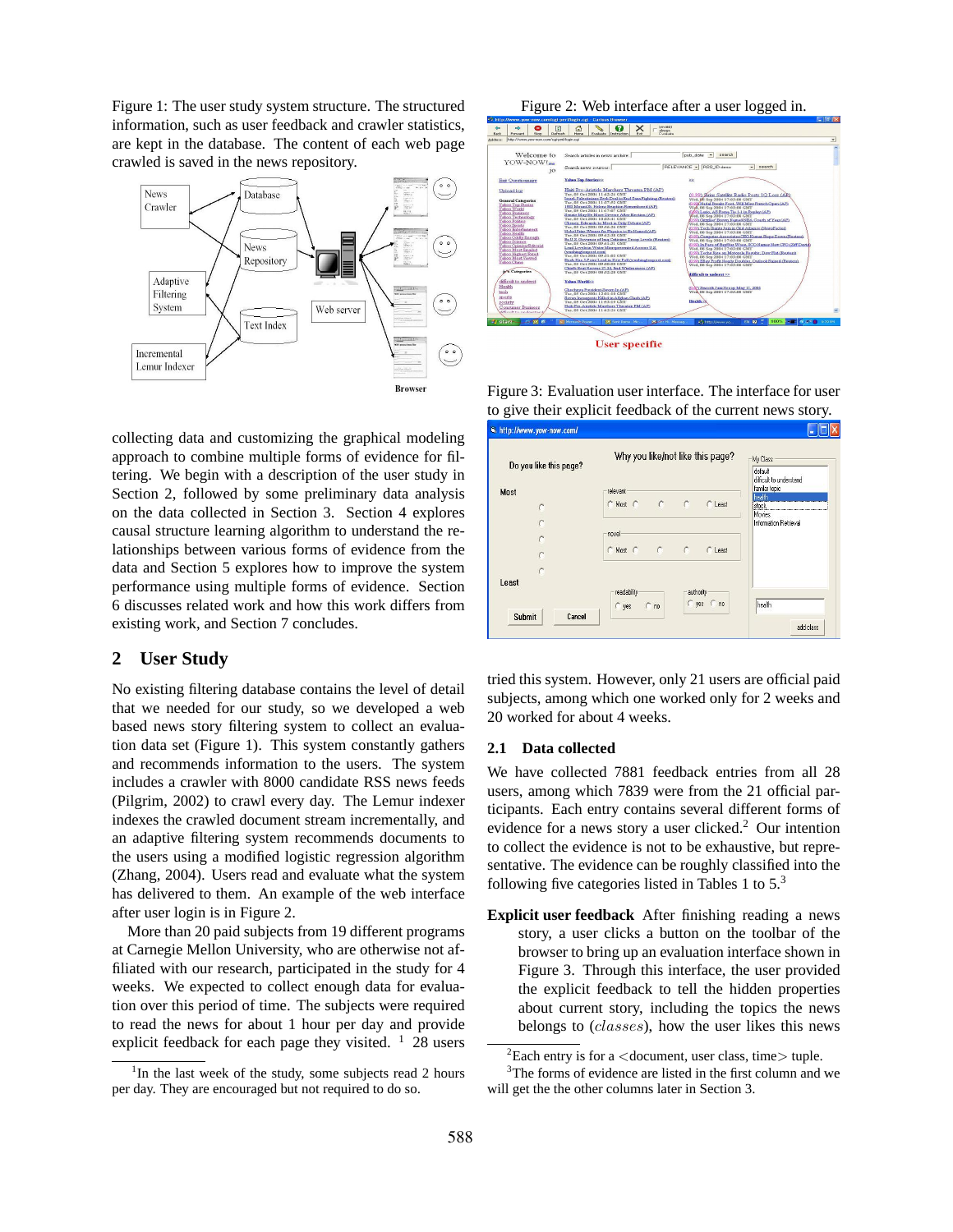Figure 1: The user study system structure. The structured information, such as user feedback and crawler statistics, are kept in the database. The content of each web page crawled is saved in the news repository.



collecting data and customizing the graphical modeling approach to combine multiple forms of evidence for filtering. We begin with a description of the user study in Section 2, followed by some preliminary data analysis on the data collected in Section 3. Section 4 explores causal structure learning algorithm to understand the relationships between various forms of evidence from the data and Section 5 explores how to improve the system performance using multiple forms of evidence. Section 6 discusses related work and how this work differs from existing work, and Section 7 concludes.

# **2 User Study**

No existing filtering database contains the level of detail that we needed for our study, so we developed a web based news story filtering system to collect an evaluation data set (Figure 1). This system constantly gathers and recommends information to the users. The system includes a crawler with 8000 candidate RSS news feeds (Pilgrim, 2002) to crawl every day. The Lemur indexer indexes the crawled document stream incrementally, and an adaptive filtering system recommends documents to the users using a modified logistic regression algorithm (Zhang, 2004). Users read and evaluate what the system has delivered to them. An example of the web interface after user login is in Figure 2.

More than 20 paid subjects from 19 different programs at Carnegie Mellon University, who are otherwise not affiliated with our research, participated in the study for 4 weeks. We expected to collect enough data for evaluation over this period of time. The subjects were required to read the news for about 1 hour per day and provide explicit feedback for each page they visited.  $1\,$  28 users

Figure 2: Web interface after a user logged in.





Figure 3: Evaluation user interface. The interface for user to give their explicit feedback of the current news story. la http://www.yow-now.com/  $\sqrt{\square}$ 

| Do you like this page? |                        |               |            | Why you like/not like this page? | My Class<br>default<br>difficult to understand |
|------------------------|------------------------|---------------|------------|----------------------------------|------------------------------------------------|
| Most                   | relevant               |               |            |                                  | familar topic<br>health                        |
| r                      | C Most C               | $\mathcal{C}$ | C          | C Least                          | stock                                          |
|                        |                        |               |            |                                  | Movies<br>Information Retrieval                |
|                        | novel                  |               |            |                                  |                                                |
|                        | C Most C C             |               | C          | C Least                          |                                                |
|                        |                        |               |            |                                  |                                                |
| Least                  |                        |               |            |                                  |                                                |
|                        | readability<br>$C$ yes | $\cap$<br>no  | authority- | C yes C no                       | health                                         |
| Submit<br>Cancel       |                        |               |            |                                  |                                                |

tried this system. However, only 21 users are official paid subjects, among which one worked only for 2 weeks and 20 worked for about 4 weeks.

#### **2.1 Data collected**

We have collected 7881 feedback entries from all 28 users, among which 7839 were from the 21 official participants. Each entry contains several different forms of evidence for a news story a user clicked.<sup>2</sup> Our intention to collect the evidence is not to be exhaustive, but representative. The evidence can be roughly classified into the following five categories listed in Tables 1 to  $5<sup>3</sup>$ 

**Explicit user feedback** After finishing reading a news story, a user clicks a button on the toolbar of the browser to bring up an evaluation interface shown in Figure 3. Through this interface, the user provided the explicit feedback to tell the hidden properties about current story, including the topics the news belongs to (classes), how the user likes this news

<sup>&</sup>lt;sup>1</sup>In the last week of the study, some subjects read 2 hours per day. They are encouraged but not required to do so.

 ${}^{2}$ Each entry is for a <document, user class, time> tuple.

<sup>&</sup>lt;sup>3</sup>The forms of evidence are listed in the first column and we will get the the other columns later in Section 3.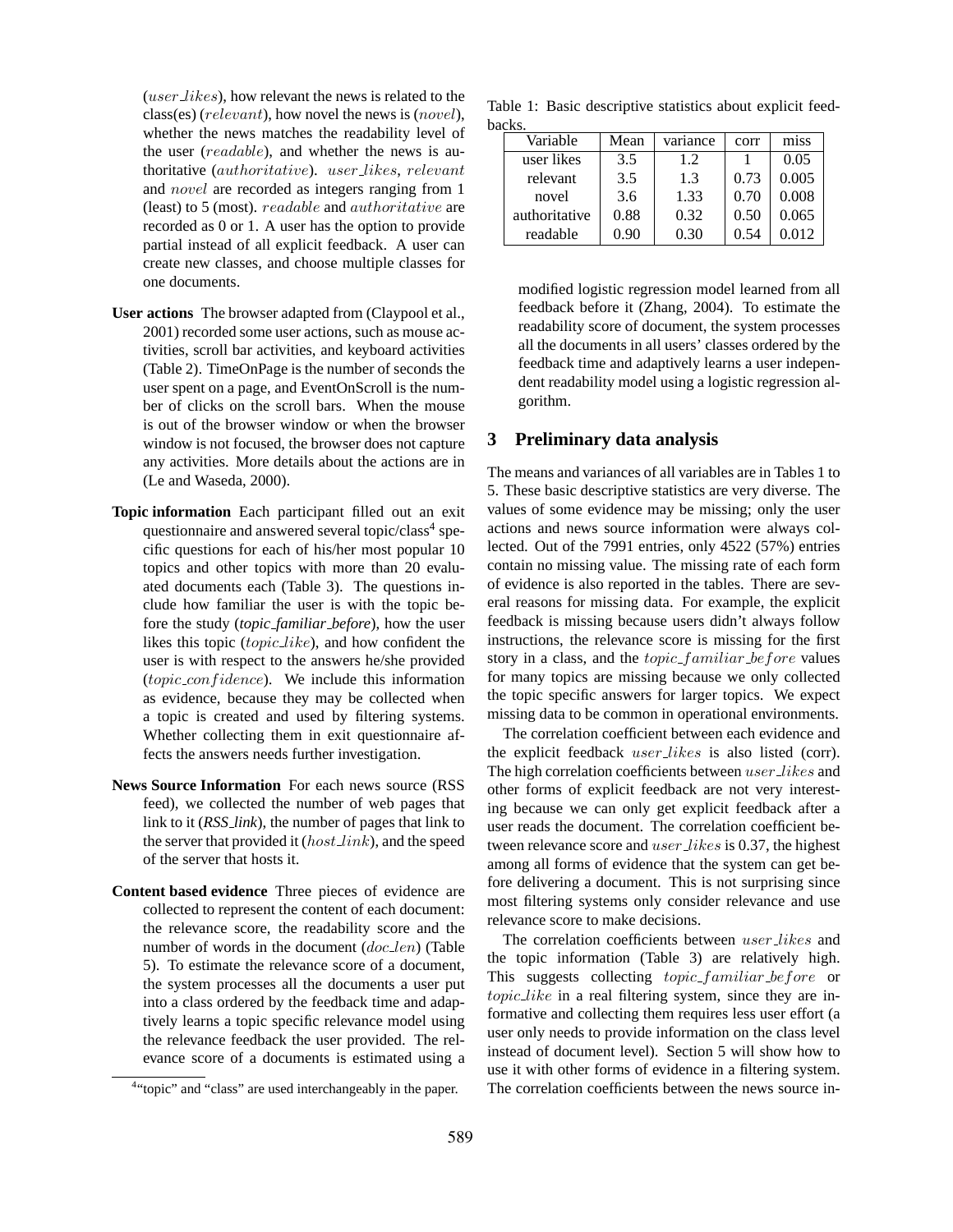(user likes), how relevant the news is related to the class(es) (relevant), how novel the news is (novel), whether the news matches the readability level of the user (readable), and whether the news is authoritative (authoritative). user likes, relevant and novel are recorded as integers ranging from 1 (least) to 5 (most). readable and authoritative are recorded as 0 or 1. A user has the option to provide partial instead of all explicit feedback. A user can create new classes, and choose multiple classes for one documents.

- **User actions** The browser adapted from (Claypool et al., 2001) recorded some user actions, such as mouse activities, scroll bar activities, and keyboard activities (Table 2). TimeOnPage is the number of seconds the user spent on a page, and EventOnScroll is the number of clicks on the scroll bars. When the mouse is out of the browser window or when the browser window is not focused, the browser does not capture any activities. More details about the actions are in (Le and Waseda, 2000).
- **Topic information** Each participant filled out an exit questionnaire and answered several topic/class<sup>4</sup> specific questions for each of his/her most popular 10 topics and other topics with more than 20 evaluated documents each (Table 3). The questions include how familiar the user is with the topic before the study (*topic familiar before*), how the user likes this topic (topic like), and how confident the user is with respect to the answers he/she provided  $(topic\_confidence)$ . We include this information as evidence, because they may be collected when a topic is created and used by filtering systems. Whether collecting them in exit questionnaire affects the answers needs further investigation.
- **News Source Information** For each news source (RSS feed), we collected the number of web pages that link to it (*RSS link*), the number of pages that link to the server that provided it  $(host\_link)$ , and the speed of the server that hosts it.
- **Content based evidence** Three pieces of evidence are collected to represent the content of each document: the relevance score, the readability score and the number of words in the document  $(doc<sub>-</sub>len)$  (Table 5). To estimate the relevance score of a document, the system processes all the documents a user put into a class ordered by the feedback time and adaptively learns a topic specific relevance model using the relevance feedback the user provided. The relevance score of a documents is estimated using a

Table 1: Basic descriptive statistics about explicit feedbacks.

| Variable      | Mean | variance | corr | miss  |
|---------------|------|----------|------|-------|
| user likes    | 3.5  | 12       |      | 0.05  |
| relevant      | 3.5  | 1.3      | 0.73 | 0.005 |
| novel         | 3.6  | 1.33     | 0.70 | 0.008 |
| authoritative | 0.88 | 0.32     | 0.50 | 0.065 |
| readable      | 0.90 | 0.30     | 0.54 | 0.012 |

modified logistic regression model learned from all feedback before it (Zhang, 2004). To estimate the readability score of document, the system processes all the documents in all users' classes ordered by the feedback time and adaptively learns a user independent readability model using a logistic regression algorithm.

# **3 Preliminary data analysis**

The means and variances of all variables are in Tables 1 to 5. These basic descriptive statistics are very diverse. The values of some evidence may be missing; only the user actions and news source information were always collected. Out of the 7991 entries, only 4522 (57%) entries contain no missing value. The missing rate of each form of evidence is also reported in the tables. There are several reasons for missing data. For example, the explicit feedback is missing because users didn't always follow instructions, the relevance score is missing for the first story in a class, and the *topic\_familiar\_before* values for many topics are missing because we only collected the topic specific answers for larger topics. We expect missing data to be common in operational environments.

The correlation coefficient between each evidence and the explicit feedback user\_likes is also listed (corr). The high correlation coefficients between user likes and other forms of explicit feedback are not very interesting because we can only get explicit feedback after a user reads the document. The correlation coefficient between relevance score and *user likes* is 0.37, the highest among all forms of evidence that the system can get before delivering a document. This is not surprising since most filtering systems only consider relevance and use relevance score to make decisions.

The correlation coefficients between user\_likes and the topic information (Table 3) are relatively high. This suggests collecting *topic\_familiar\_before* or topic\_like in a real filtering system, since they are informative and collecting them requires less user effort (a user only needs to provide information on the class level instead of document level). Section 5 will show how to use it with other forms of evidence in a filtering system. The correlation coefficients between the news source in-

<sup>&</sup>lt;sup>4</sup>"topic" and "class" are used interchangeably in the paper.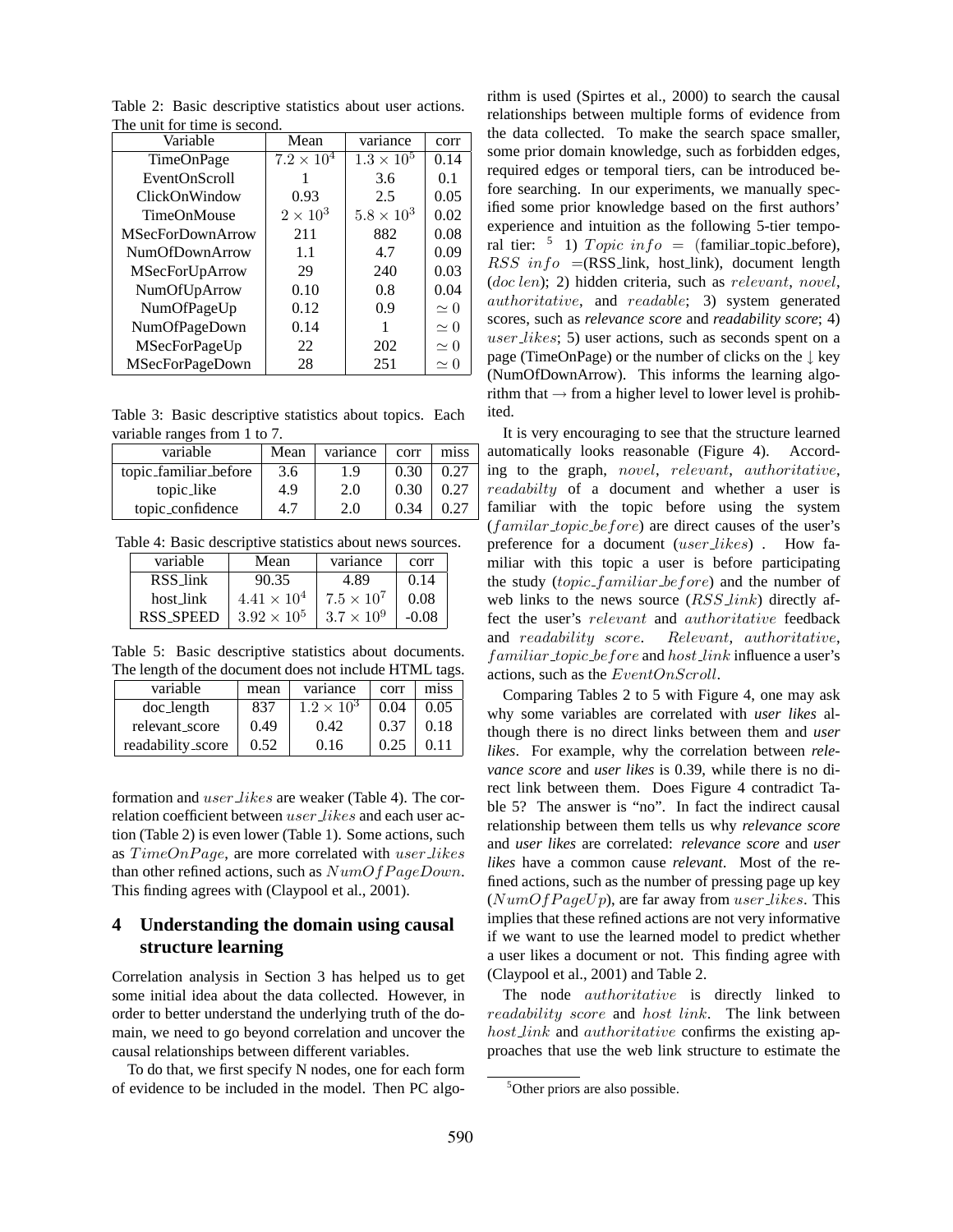| Variable                | Mean              | variance            | corr       |
|-------------------------|-------------------|---------------------|------------|
| TimeOnPage              | $7.2 \times 10^4$ | $1.3 \times 10^{5}$ | 0.14       |
| EventOnScroll           |                   | 3.6                 | 0.1        |
| ClickOnWindow           | 0.93              | 2.5                 | 0.05       |
| <b>TimeOnMouse</b>      | $2\times10^3$     | $5.8 \times 10^3$   | 0.02       |
| <b>MSecForDownArrow</b> | 211               | 882                 | 0.08       |
| <b>NumOfDownArrow</b>   | 1.1               | 4.7                 | 0.09       |
| MSecForUpArrow          | 29                | 240                 | 0.03       |
| NumOfUpArrow            | 0.10              | 0.8                 | 0.04       |
| NumOfPageUp             | 0.12              | 0.9                 | $\simeq 0$ |
| NumOfPageDown           | 0.14              |                     | $\simeq 0$ |
| MSecForPageUp           | 22                | 202                 | $\simeq 0$ |
| MSecForPageDown         | 28                | 251                 | $\simeq 0$ |

Table 2: Basic descriptive statistics about user actions. The unit for time is second.

Table 3: Basic descriptive statistics about topics. Each variable ranges from 1 to 7.

| variable              | Mean | variance | corr | miss |
|-----------------------|------|----------|------|------|
| topic_familiar_before | 3.6  | 1.9      | 0.30 | 0.27 |
| topic_like            | 4.9  | 2.0      | 0.30 | 0.27 |
| topic_confidence      | 4.7  | 2.0      | 0.34 | 0.27 |

Table 4: Basic descriptive statistics about news sources.

| variable  | Mean                 | variance            | corr    |
|-----------|----------------------|---------------------|---------|
| RSS link  | 90.35                | 4.89                | 0.14    |
| host link | $4.41 \times 10^{4}$ | $7.5 \times 10^{7}$ | 0.08    |
| RSS SPEED | $3.92 \times 10^{5}$ | $3.7 \times 10^{9}$ | $-0.08$ |

Table 5: Basic descriptive statistics about documents. The length of the document does not include HTML tags.

| variable          | mean | variance            | corr | miss |
|-------------------|------|---------------------|------|------|
| doc_length        | 837  | $1.2 \times 10^{3}$ | 0.04 | 0.05 |
| relevant_score    | 0.49 | 0.42                | 0.37 | 0.18 |
| readability_score | 0.52 | 0.16                | 0.25 | 0.11 |

formation and user likes are weaker (Table 4). The correlation coefficient between *user likes* and each user action (Table 2) is even lower (Table 1). Some actions, such as  $TimeOn Page$ , are more correlated with user\_likes than other refined actions, such as  $NumOfPageDown$ . This finding agrees with (Claypool et al., 2001).

# **4 Understanding the domain using causal structure learning**

Correlation analysis in Section 3 has helped us to get some initial idea about the data collected. However, in order to better understand the underlying truth of the domain, we need to go beyond correlation and uncover the causal relationships between different variables.

To do that, we first specify N nodes, one for each form of evidence to be included in the model. Then PC algorithm is used (Spirtes et al., 2000) to search the causal relationships between multiple forms of evidence from the data collected. To make the search space smaller, some prior domain knowledge, such as forbidden edges, required edges or temporal tiers, can be introduced before searching. In our experiments, we manually specified some prior knowledge based on the first authors' experience and intuition as the following 5-tier temporal tier:  $\frac{5}{1}$  1) Topic info = (familiar\_topic\_before),  $RSS \t{info} = (RSS\_link, host\_link)$ , document length (doc len); 2) hidden criteria, such as relevant, novel, authoritative, and readable; 3) system generated scores, such as *relevance score* and *readability score*; 4) user likes; 5) user actions, such as seconds spent on a page (TimeOnPage) or the number of clicks on the  $\downarrow$  key (NumOfDownArrow). This informs the learning algorithm that  $\rightarrow$  from a higher level to lower level is prohibited.

It is very encouraging to see that the structure learned automatically looks reasonable (Figure 4). According to the graph, novel, relevant, authoritative, readabilty of a document and whether a user is familiar with the topic before using the system  $(familiar\_topic\_before)$  are direct causes of the user's preference for a document (*user likes*). How familiar with this topic a user is before participating the study (*topic\_familiar\_before*) and the number of web links to the news source  $(RSS\text{.}link)$  directly affect the user's relevant and authoritative feedback and readability score. Relevant, authoritative, familiar\_topic\_before and host\_link influence a user's actions, such as the EventOnScroll.

Comparing Tables 2 to 5 with Figure 4, one may ask why some variables are correlated with *user likes* although there is no direct links between them and *user likes*. For example, why the correlation between *relevance score* and *user likes* is 0.39, while there is no direct link between them. Does Figure 4 contradict Table 5? The answer is "no". In fact the indirect causal relationship between them tells us why *relevance score* and *user likes* are correlated: *relevance score* and *user likes* have a common cause *relevant*. Most of the refined actions, such as the number of pressing page up key  $(NumOfPageUp)$ , are far away from user likes. This implies that these refined actions are not very informative if we want to use the learned model to predict whether a user likes a document or not. This finding agree with (Claypool et al., 2001) and Table 2.

The node *authoritative* is directly linked to readability score and host link. The link between host link and *authoritative* confirms the existing approaches that use the web link structure to estimate the

<sup>&</sup>lt;sup>5</sup>Other priors are also possible.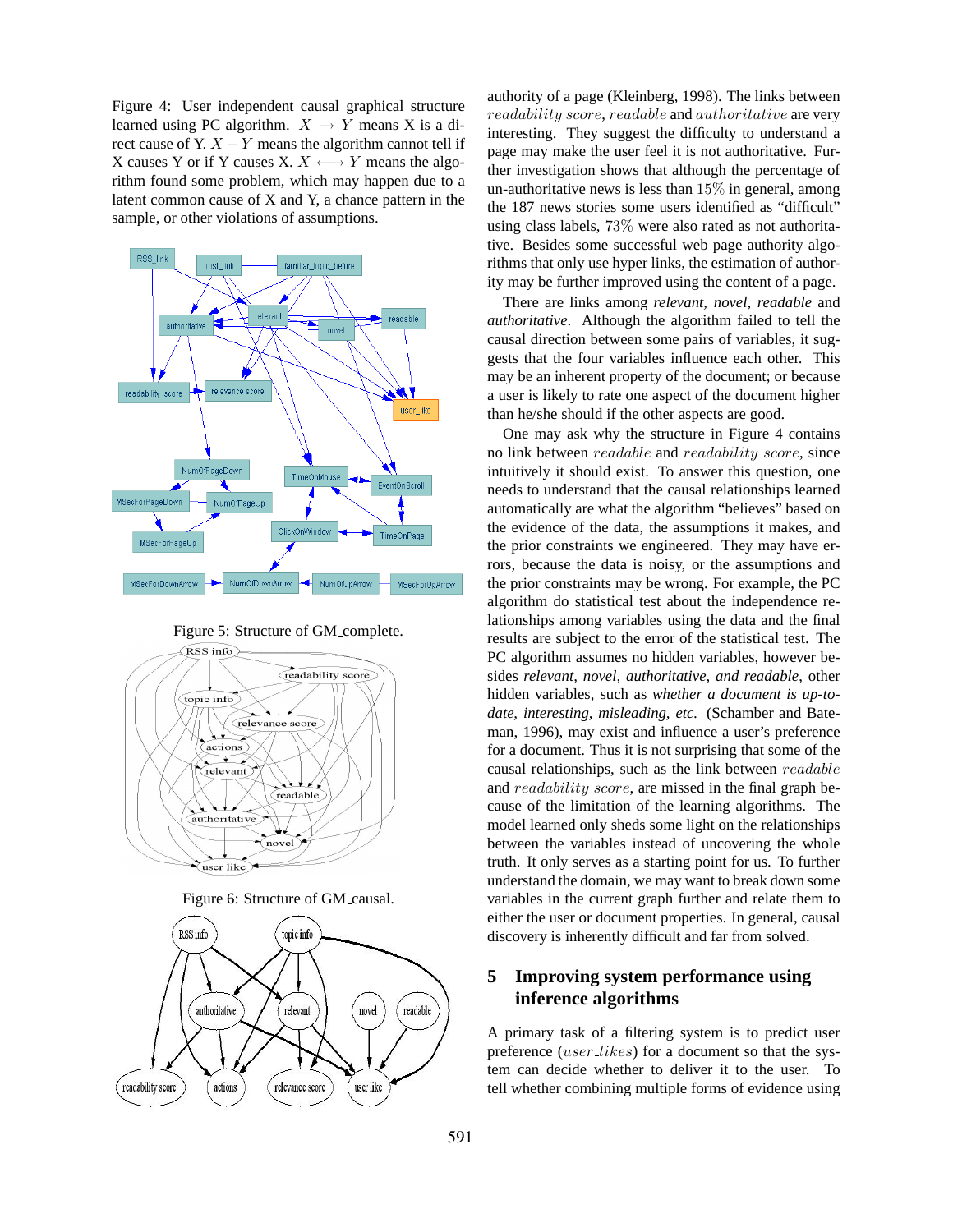Figure 4: User independent causal graphical structure learned using PC algorithm.  $X \rightarrow Y$  means X is a direct cause of Y.  $X - Y$  means the algorithm cannot tell if X causes Y or if Y causes X.  $X \leftrightarrow Y$  means the algorithm found some problem, which may happen due to a latent common cause of X and Y, a chance pattern in the sample, or other violations of assumptions.



Figure 5: Structure of GM complete.



Figure 6: Structure of GM causal.



authority of a page (Kleinberg, 1998). The links between readability score, readable and authoritative are very interesting. They suggest the difficulty to understand a page may make the user feel it is not authoritative. Further investigation shows that although the percentage of un-authoritative news is less than  $15\%$  in general, among the 187 news stories some users identified as "difficult" using class labels, 73% were also rated as not authoritative. Besides some successful web page authority algorithms that only use hyper links, the estimation of authority may be further improved using the content of a page.

There are links among *relevant, novel, readable* and *authoritative*. Although the algorithm failed to tell the causal direction between some pairs of variables, it suggests that the four variables influence each other. This may be an inherent property of the document; or because a user is likely to rate one aspect of the document higher than he/she should if the other aspects are good.

One may ask why the structure in Figure 4 contains no link between readable and readability score, since intuitively it should exist. To answer this question, one needs to understand that the causal relationships learned automatically are what the algorithm "believes" based on the evidence of the data, the assumptions it makes, and the prior constraints we engineered. They may have errors, because the data is noisy, or the assumptions and the prior constraints may be wrong. For example, the PC algorithm do statistical test about the independence relationships among variables using the data and the final results are subject to the error of the statistical test. The PC algorithm assumes no hidden variables, however besides *relevant, novel, authoritative, and readable*, other hidden variables, such as *whether a document is up-todate, interesting, misleading, etc.* (Schamber and Bateman, 1996), may exist and influence a user's preference for a document. Thus it is not surprising that some of the causal relationships, such as the link between readable and *readability score*, are missed in the final graph because of the limitation of the learning algorithms. The model learned only sheds some light on the relationships between the variables instead of uncovering the whole truth. It only serves as a starting point for us. To further understand the domain, we may want to break down some variables in the current graph further and relate them to either the user or document properties. In general, causal discovery is inherently difficult and far from solved.

# **5 Improving system performance using inference algorithms**

A primary task of a filtering system is to predict user preference (user likes) for a document so that the system can decide whether to deliver it to the user. To tell whether combining multiple forms of evidence using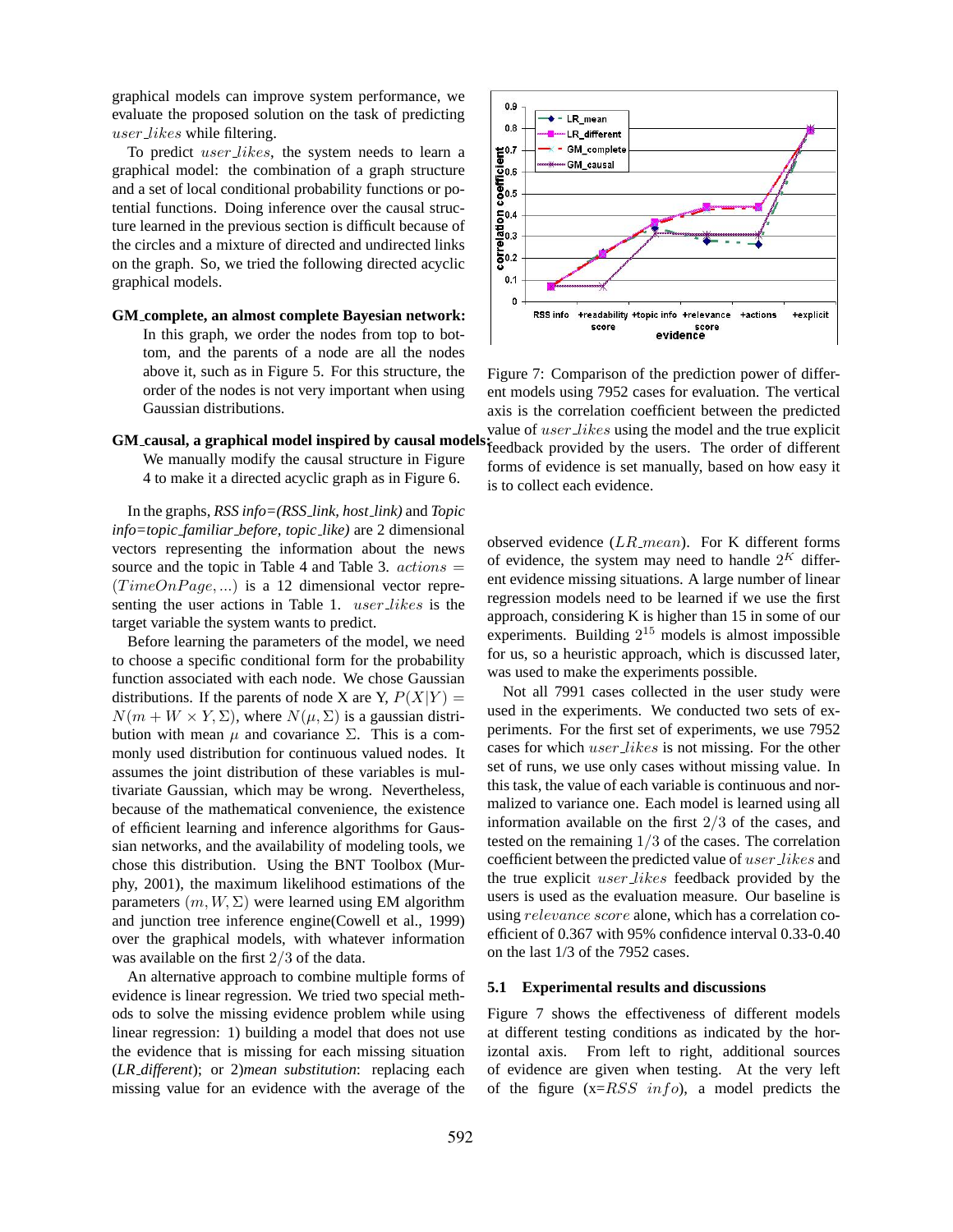graphical models can improve system performance, we evaluate the proposed solution on the task of predicting user likes while filtering.

To predict *user\_likes*, the system needs to learn a graphical model: the combination of a graph structure and a set of local conditional probability functions or potential functions. Doing inference over the causal structure learned in the previous section is difficult because of the circles and a mixture of directed and undirected links on the graph. So, we tried the following directed acyclic graphical models.

**GM complete, an almost complete Bayesian network:** In this graph, we order the nodes from top to bottom, and the parents of a node are all the nodes above it, such as in Figure 5. For this structure, the order of the nodes is not very important when using Gaussian distributions.

#### **GM causal, a graphical model inspired by causal models:**

We manually modify the causal structure in Figure 4 to make it a directed acyclic graph as in Figure 6.

In the graphs, *RSS info=(RSS link, host link)* and *Topic info=topic familiar before, topic like)* are 2 dimensional vectors representing the information about the news source and the topic in Table 4 and Table 3.  $actions =$  $(TimeOn Page, ...)$  is a 12 dimensional vector representing the user actions in Table 1. *user likes* is the target variable the system wants to predict.

Before learning the parameters of the model, we need to choose a specific conditional form for the probability function associated with each node. We chose Gaussian distributions. If the parents of node X are Y,  $P(X|Y) =$  $N(m + W \times Y, \Sigma)$ , where  $N(\mu, \Sigma)$  is a gaussian distribution with mean  $\mu$  and covariance  $\Sigma$ . This is a commonly used distribution for continuous valued nodes. It assumes the joint distribution of these variables is multivariate Gaussian, which may be wrong. Nevertheless, because of the mathematical convenience, the existence of efficient learning and inference algorithms for Gaussian networks, and the availability of modeling tools, we chose this distribution. Using the BNT Toolbox (Murphy, 2001), the maximum likelihood estimations of the parameters  $(m, W, \Sigma)$  were learned using EM algorithm and junction tree inference engine(Cowell et al., 1999) over the graphical models, with whatever information was available on the first 2/3 of the data.

An alternative approach to combine multiple forms of evidence is linear regression. We tried two special methods to solve the missing evidence problem while using linear regression: 1) building a model that does not use the evidence that is missing for each missing situation (*LR different*); or 2)*mean substitution*: replacing each missing value for an evidence with the average of the



Figure 7: Comparison of the prediction power of different models using 7952 cases for evaluation. The vertical axis is the correlation coefficient between the predicted value of user likes using the model and the true explicit feedback provided by the users. The order of different forms of evidence is set manually, based on how easy it is to collect each evidence.

observed evidence  $(LR_{\text{}} \text{mean})$ . For K different forms of evidence, the system may need to handle  $2^{K}$  different evidence missing situations. A large number of linear regression models need to be learned if we use the first approach, considering K is higher than 15 in some of our experiments. Building  $2^{15}$  models is almost impossible for us, so a heuristic approach, which is discussed later, was used to make the experiments possible.

Not all 7991 cases collected in the user study were used in the experiments. We conducted two sets of experiments. For the first set of experiments, we use 7952 cases for which *user likes* is not missing. For the other set of runs, we use only cases without missing value. In this task, the value of each variable is continuous and normalized to variance one. Each model is learned using all information available on the first  $2/3$  of the cases, and tested on the remaining 1/3 of the cases. The correlation coefficient between the predicted value of user likes and the true explicit user likes feedback provided by the users is used as the evaluation measure. Our baseline is using relevance score alone, which has a correlation coefficient of 0.367 with 95% confidence interval 0.33-0.40 on the last 1/3 of the 7952 cases.

#### **5.1 Experimental results and discussions**

Figure 7 shows the effectiveness of different models at different testing conditions as indicated by the horizontal axis. From left to right, additional sources of evidence are given when testing. At the very left of the figure  $(x=RSS \; info)$ , a model predicts the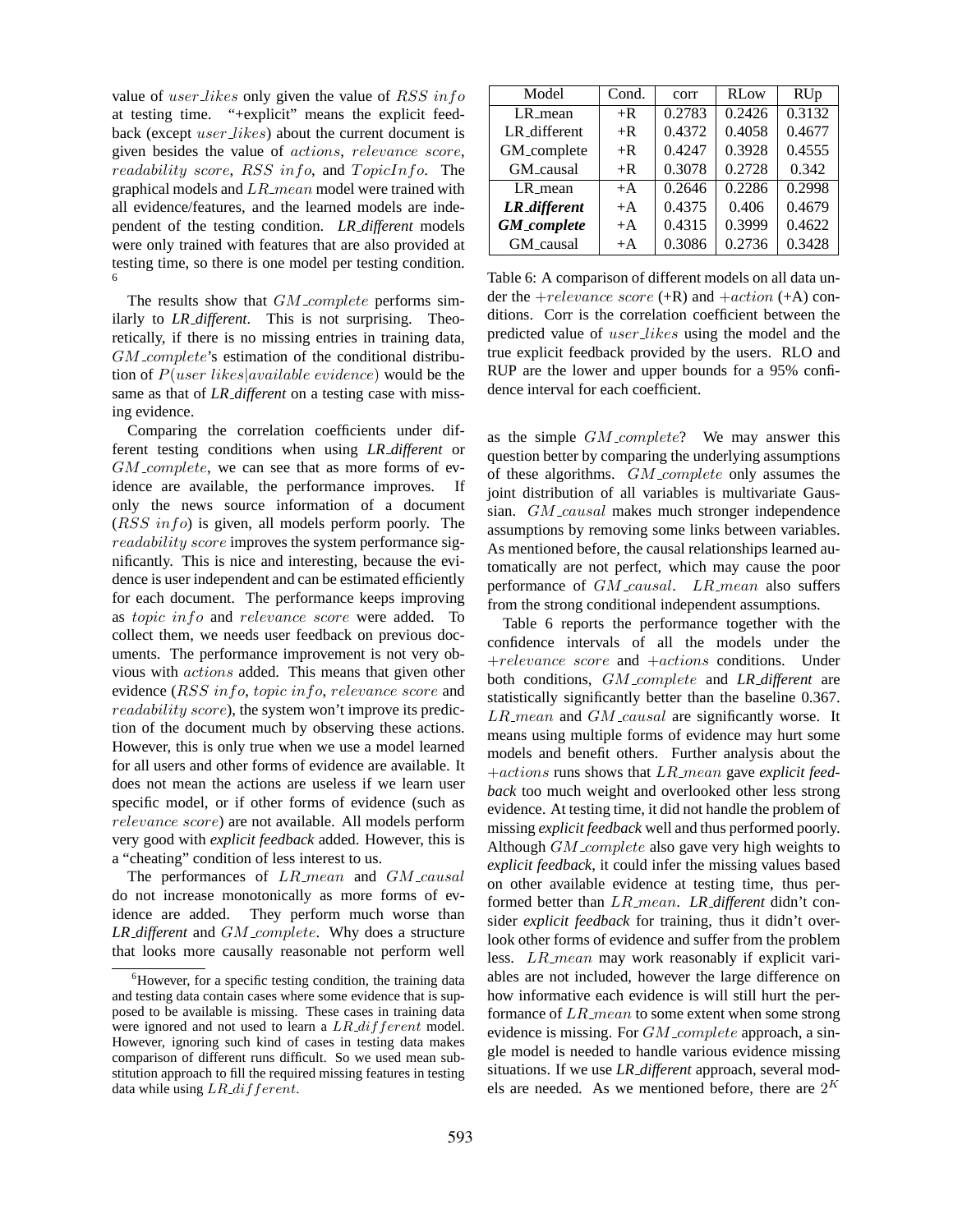value of user likes only given the value of RSS in form at testing time. "+explicit" means the explicit feedback (except user likes) about the current document is given besides the value of actions, relevance score, readability score,  $RSS \ info$ , and  $TopicInfo$ . The graphical models and  $LR$  mean model were trained with all evidence/features, and the learned models are independent of the testing condition. *LR different* models were only trained with features that are also provided at testing time, so there is one model per testing condition. 6

The results show that  $GM\_complete$  performs similarly to *LR different*. This is not surprising. Theoretically, if there is no missing entries in training data,  $GM$ <sub>-complete</sub>'s estimation of the conditional distribution of  $P(user\;likes|available\; evidence)$  would be the same as that of *LR different* on a testing case with missing evidence.

Comparing the correlation coefficients under different testing conditions when using *LR different* or  $GM\_complete$ , we can see that as more forms of evidence are available, the performance improves. If only the news source information of a document  $(RSS \; info)$  is given, all models perform poorly. The readability score improves the system performance significantly. This is nice and interesting, because the evidence is user independent and can be estimated efficiently for each document. The performance keeps improving as topic info and relevance score were added. To collect them, we needs user feedback on previous documents. The performance improvement is not very obvious with actions added. This means that given other evidence (RSS info, topic info, relevance score and readability score), the system won't improve its prediction of the document much by observing these actions. However, this is only true when we use a model learned for all users and other forms of evidence are available. It does not mean the actions are useless if we learn user specific model, or if other forms of evidence (such as relevance score) are not available. All models perform very good with *explicit feedback* added. However, this is a "cheating" condition of less interest to us.

The performances of  $LR$  mean and  $GM$  causal do not increase monotonically as more forms of evidence are added. They perform much worse than *LR different* and *GM complete*. Why does a structure that looks more causally reasonable not perform well

| Model                 | Cond. | corr   | <b>RLow</b> | <b>RUp</b> |
|-----------------------|-------|--------|-------------|------------|
| LR_mean               | $+R$  | 0.2783 | 0.2426      | 0.3132     |
| LR_different          | $+R$  | 0.4372 | 0.4058      | 0.4677     |
| GM_complete           | $+R$  | 0.4247 | 0.3928      | 0.4555     |
| GM_causal             | $+R$  | 0.3078 | 0.2728      | 0.342      |
| $LR$ <sub>-mean</sub> | $+A$  | 0.2646 | 0.2286      | 0.2998     |
| LR_different          | $+A$  | 0.4375 | 0.406       | 0.4679     |
| <b>GM_complete</b>    | $+A$  | 0.4315 | 0.3999      | 0.4622     |
| GM_causal             | $+A$  | 0.3086 | 0.2736      | 0.3428     |

Table 6: A comparison of different models on all data under the  $+relevance score (+R)$  and  $+action (+A)$  conditions. Corr is the correlation coefficient between the predicted value of user likes using the model and the true explicit feedback provided by the users. RLO and RUP are the lower and upper bounds for a 95% confidence interval for each coefficient.

as the simple GM\_complete? We may answer this question better by comparing the underlying assumptions of these algorithms. GM\_complete only assumes the joint distribution of all variables is multivariate Gaussian. GM\_causal makes much stronger independence assumptions by removing some links between variables. As mentioned before, the causal relationships learned automatically are not perfect, which may cause the poor performance of  $GM\_causal$ .  $LR\_mean$  also suffers from the strong conditional independent assumptions.

Table 6 reports the performance together with the confidence intervals of all the models under the +relevance score and +actions conditions. Under both conditions, GM complete and *LR different* are statistically significantly better than the baseline 0.367.  $LR$ <sub>mean</sub> and  $GM$ <sub>causal</sub> are significantly worse. It means using multiple forms of evidence may hurt some models and benefit others. Further analysis about the +actions runs shows that LR mean gave *explicit feedback* too much weight and overlooked other less strong evidence. At testing time, it did not handle the problem of missing *explicit feedback* well and thus performed poorly. Although  $GM$ <sub>-complete</sub> also gave very high weights to *explicit feedback*, it could infer the missing values based on other available evidence at testing time, thus performed better than LR mean. *LR different* didn't consider *explicit feedback* for training, thus it didn't overlook other forms of evidence and suffer from the problem less. LR\_mean may work reasonably if explicit variables are not included, however the large difference on how informative each evidence is will still hurt the performance of  $LR$  mean to some extent when some strong evidence is missing. For  $GM$  *complete* approach, a single model is needed to handle various evidence missing situations. If we use *LR different* approach, several models are needed. As we mentioned before, there are  $2^K$ 

 ${}^{6}$ However, for a specific testing condition, the training data and testing data contain cases where some evidence that is supposed to be available is missing. These cases in training data were ignored and not used to learn a  $LR\_diff$  ferent model. However, ignoring such kind of cases in testing data makes comparison of different runs difficult. So we used mean substitution approach to fill the required missing features in testing data while using LR\_different.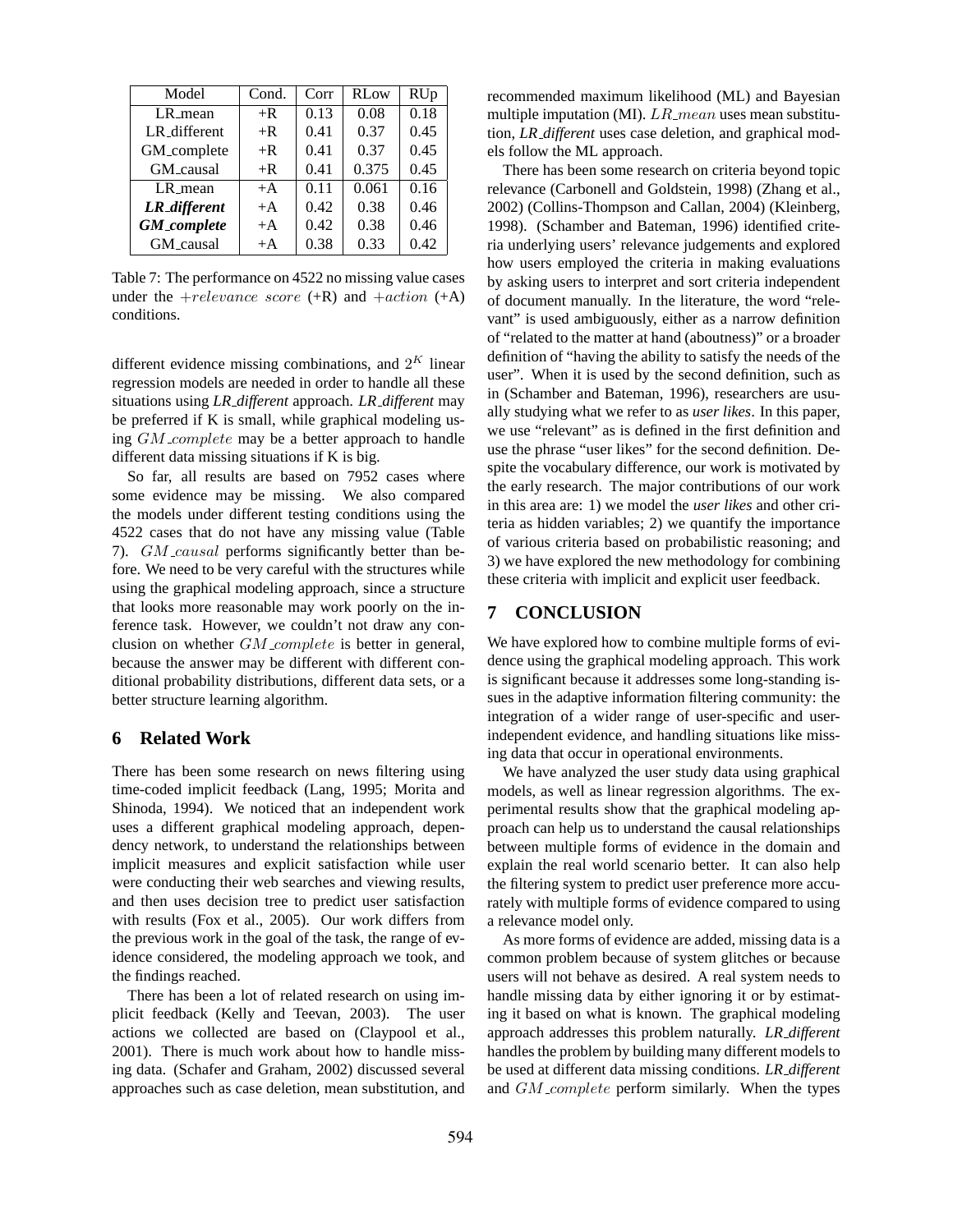| Model               | Cond. | Corr | <b>RLow</b> | <b>RUp</b> |
|---------------------|-------|------|-------------|------------|
| LR_mean             | $+R$  | 0.13 | 0.08        | 0.18       |
| LR_different        | $+R$  | 0.41 | 0.37        | 0.45       |
| GM_complete         | $+R$  | 0.41 | 0.37        | 0.45       |
| GM_causal           | $+R$  | 0.41 | 0.375       | 0.45       |
| LR_mean             | $+A$  | 0.11 | 0.061       | 0.16       |
| <b>LR_different</b> | $+A$  | 0.42 | 0.38        | 0.46       |
| <b>GM_complete</b>  | $+A$  | 0.42 | 0.38        | 0.46       |
| GM_causal           | $+A$  | 0.38 | 0.33        | 0.42       |

Table 7: The performance on 4522 no missing value cases under the  $+relevance\ score$   $(+R)$  and  $+action$   $(+A)$ conditions.

different evidence missing combinations, and  $2^{K}$  linear regression models are needed in order to handle all these situations using *LR different* approach. *LR different* may be preferred if K is small, while graphical modeling using  $GM\_complete$  may be a better approach to handle different data missing situations if K is big.

So far, all results are based on 7952 cases where some evidence may be missing. We also compared the models under different testing conditions using the 4522 cases that do not have any missing value (Table 7).  $GM\_causal$  performs significantly better than before. We need to be very careful with the structures while using the graphical modeling approach, since a structure that looks more reasonable may work poorly on the inference task. However, we couldn't not draw any conclusion on whether  $GM\_complete$  is better in general, because the answer may be different with different conditional probability distributions, different data sets, or a better structure learning algorithm.

## **6 Related Work**

There has been some research on news filtering using time-coded implicit feedback (Lang, 1995; Morita and Shinoda, 1994). We noticed that an independent work uses a different graphical modeling approach, dependency network, to understand the relationships between implicit measures and explicit satisfaction while user were conducting their web searches and viewing results, and then uses decision tree to predict user satisfaction with results (Fox et al., 2005). Our work differs from the previous work in the goal of the task, the range of evidence considered, the modeling approach we took, and the findings reached.

There has been a lot of related research on using implicit feedback (Kelly and Teevan, 2003). The user actions we collected are based on (Claypool et al., 2001). There is much work about how to handle missing data. (Schafer and Graham, 2002) discussed several approaches such as case deletion, mean substitution, and recommended maximum likelihood (ML) and Bayesian multiple imputation (MI).  $LR$  mean uses mean substitution, *LR different* uses case deletion, and graphical models follow the ML approach.

There has been some research on criteria beyond topic relevance (Carbonell and Goldstein, 1998) (Zhang et al., 2002) (Collins-Thompson and Callan, 2004) (Kleinberg, 1998). (Schamber and Bateman, 1996) identified criteria underlying users' relevance judgements and explored how users employed the criteria in making evaluations by asking users to interpret and sort criteria independent of document manually. In the literature, the word "relevant" is used ambiguously, either as a narrow definition of "related to the matter at hand (aboutness)" or a broader definition of "having the ability to satisfy the needs of the user". When it is used by the second definition, such as in (Schamber and Bateman, 1996), researchers are usually studying what we refer to as *user likes*. In this paper, we use "relevant" as is defined in the first definition and use the phrase "user likes" for the second definition. Despite the vocabulary difference, our work is motivated by the early research. The major contributions of our work in this area are: 1) we model the *user likes* and other criteria as hidden variables; 2) we quantify the importance of various criteria based on probabilistic reasoning; and 3) we have explored the new methodology for combining these criteria with implicit and explicit user feedback.

## **7 CONCLUSION**

We have explored how to combine multiple forms of evidence using the graphical modeling approach. This work is significant because it addresses some long-standing issues in the adaptive information filtering community: the integration of a wider range of user-specific and userindependent evidence, and handling situations like missing data that occur in operational environments.

We have analyzed the user study data using graphical models, as well as linear regression algorithms. The experimental results show that the graphical modeling approach can help us to understand the causal relationships between multiple forms of evidence in the domain and explain the real world scenario better. It can also help the filtering system to predict user preference more accurately with multiple forms of evidence compared to using a relevance model only.

As more forms of evidence are added, missing data is a common problem because of system glitches or because users will not behave as desired. A real system needs to handle missing data by either ignoring it or by estimating it based on what is known. The graphical modeling approach addresses this problem naturally. *LR different* handles the problem by building many different models to be used at different data missing conditions. *LR different* and GM\_complete perform similarly. When the types